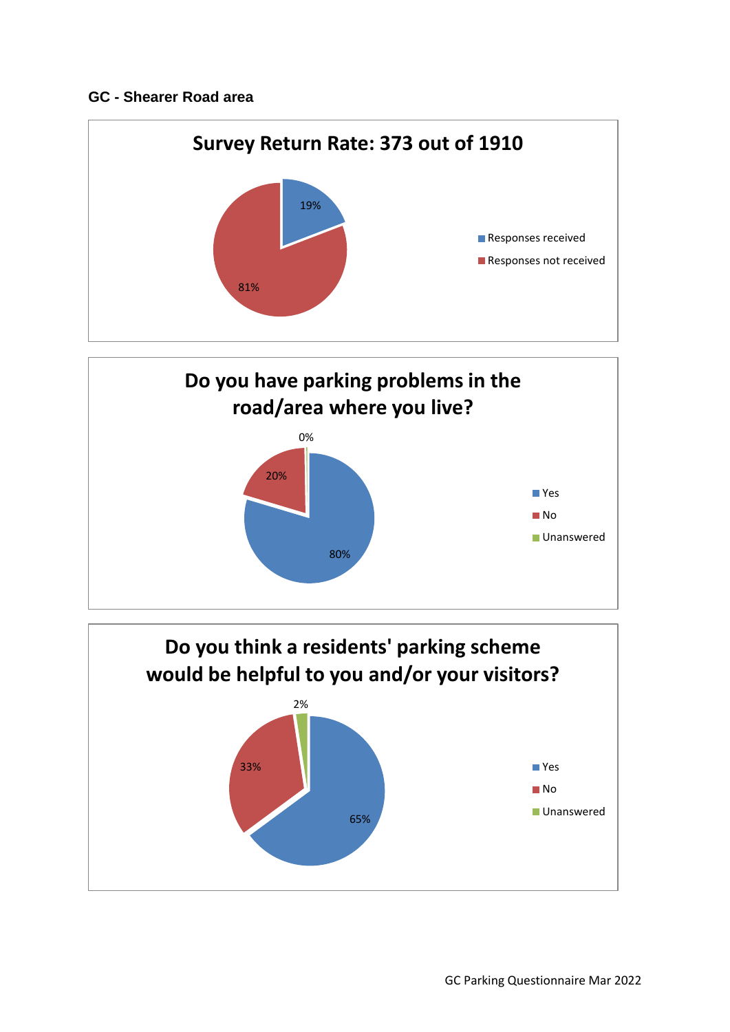## **GC - Shearer Road area**





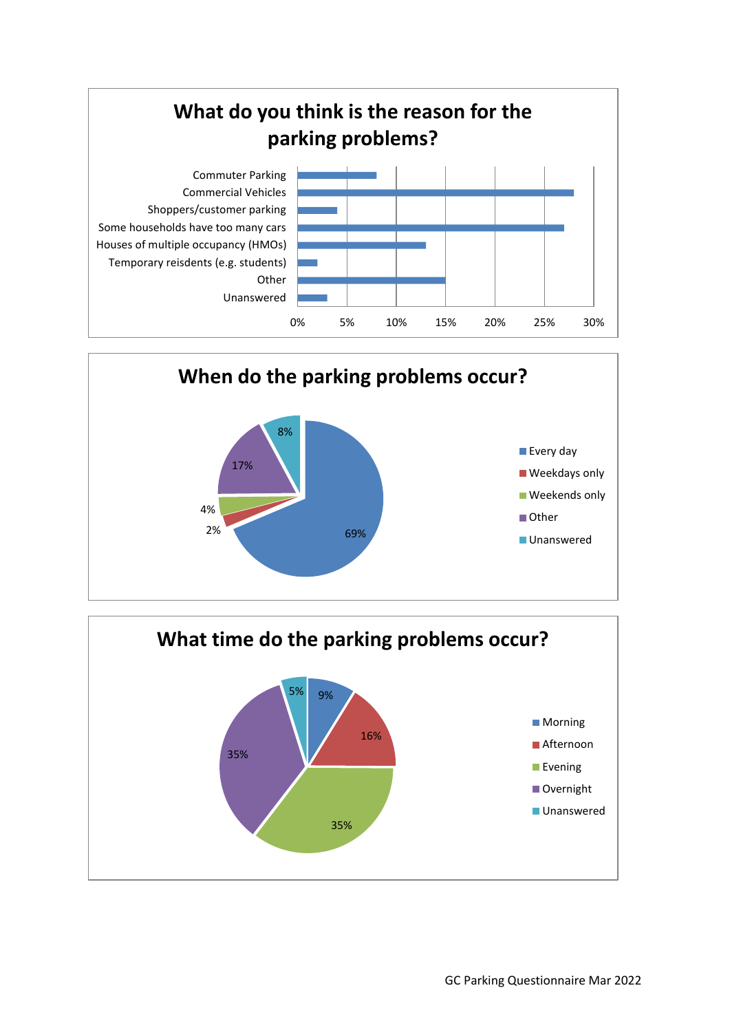



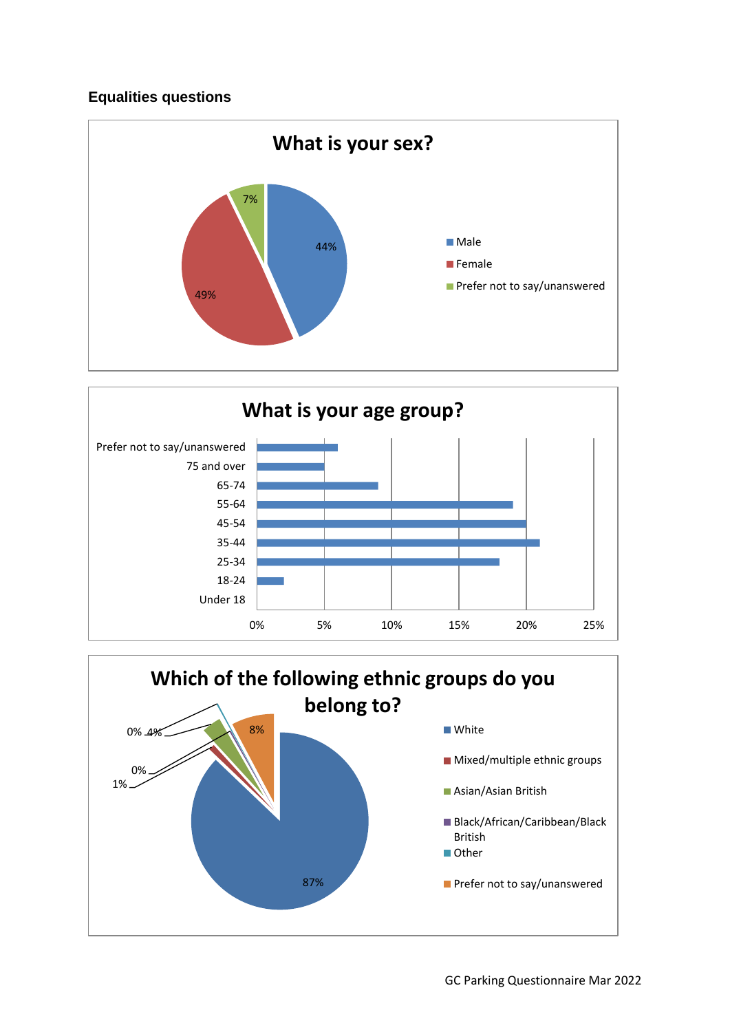## **Equalities questions**





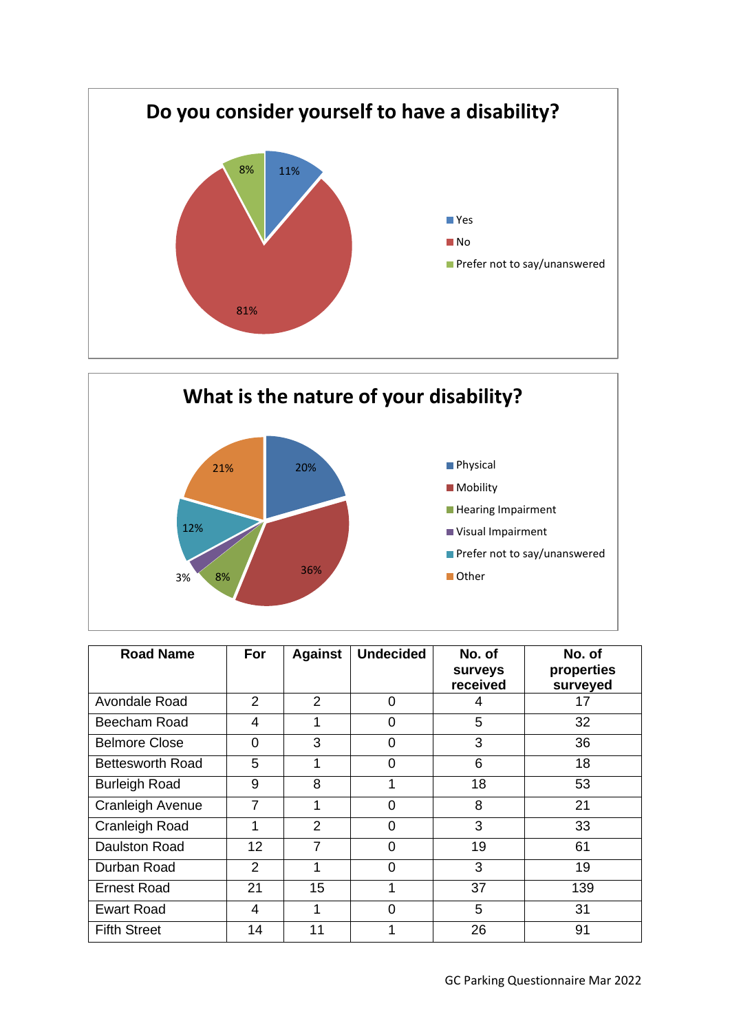



| <b>Road Name</b>        | For            | <b>Against</b> | <b>Undecided</b> | No. of<br>surveys<br>received | No. of<br>properties<br>surveyed |
|-------------------------|----------------|----------------|------------------|-------------------------------|----------------------------------|
| Avondale Road           | 2              | 2              | $\Omega$         | 4                             | 17                               |
| Beecham Road            | 4              |                | 0                | 5                             | 32                               |
| <b>Belmore Close</b>    | $\overline{0}$ | 3              | 0                | 3                             | 36                               |
| <b>Bettesworth Road</b> | 5              | 1              | 0                | 6                             | 18                               |
| <b>Burleigh Road</b>    | 9              | 8              |                  | 18                            | 53                               |
| <b>Cranleigh Avenue</b> | $\overline{7}$ | 1              | $\Omega$         | 8                             | 21                               |
| Cranleigh Road          |                | 2              | 0                | 3                             | 33                               |
| <b>Daulston Road</b>    | 12             | $\overline{7}$ | 0                | 19                            | 61                               |
| Durban Road             | 2              | 1              | 0                | 3                             | 19                               |
| <b>Ernest Road</b>      | 21             | 15             |                  | 37                            | 139                              |
| <b>Ewart Road</b>       | 4              | 1              | 0                | 5                             | 31                               |
| <b>Fifth Street</b>     | 14             | 11             |                  | 26                            | 91                               |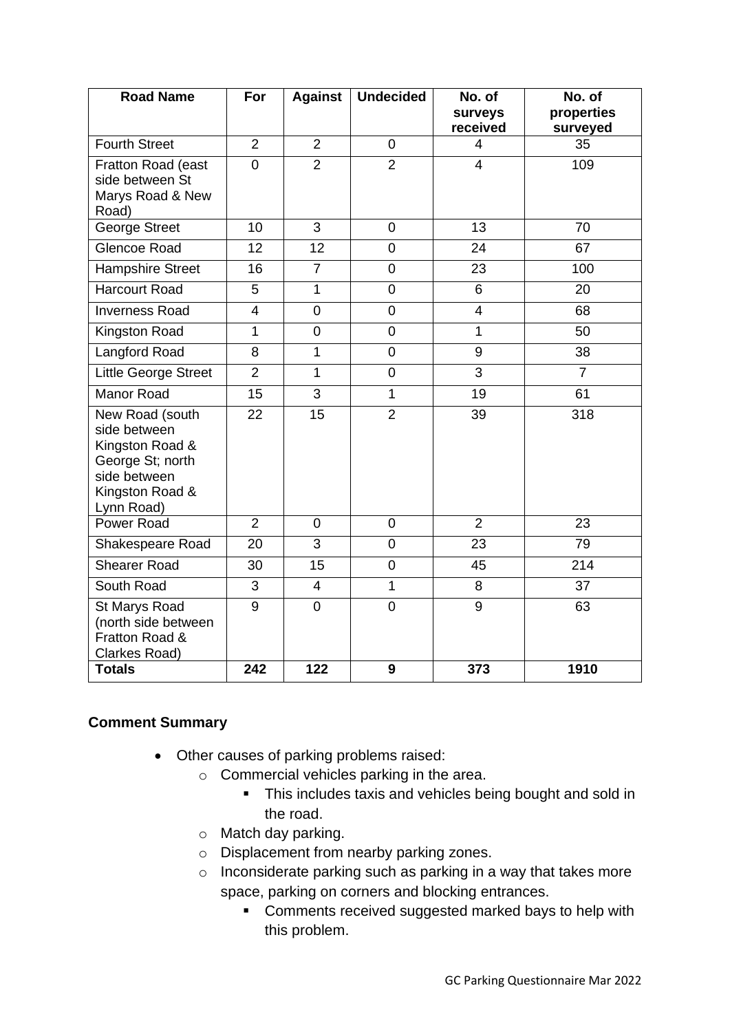| <b>Road Name</b>                                                                                                        | For            | <b>Against</b>  | <b>Undecided</b> | No. of<br>surveys<br>received | No. of<br>properties<br>surveyed |
|-------------------------------------------------------------------------------------------------------------------------|----------------|-----------------|------------------|-------------------------------|----------------------------------|
| <b>Fourth Street</b>                                                                                                    | $\overline{2}$ | $\overline{2}$  | 0                | 4                             | 35                               |
| Fratton Road (east<br>side between St<br>Marys Road & New<br>Road)                                                      | $\mathbf 0$    | $\overline{2}$  | $\overline{2}$   | $\overline{4}$                | 109                              |
| George Street                                                                                                           | 10             | 3               | $\overline{0}$   | 13                            | 70                               |
| <b>Glencoe Road</b>                                                                                                     | 12             | 12 <sup>2</sup> | $\overline{0}$   | 24                            | 67                               |
| <b>Hampshire Street</b>                                                                                                 | 16             | $\overline{7}$  | 0                | 23                            | 100                              |
| <b>Harcourt Road</b>                                                                                                    | 5              | 1               | 0                | 6                             | 20                               |
| <b>Inverness Road</b>                                                                                                   | $\overline{4}$ | $\mathbf 0$     | $\overline{0}$   | $\overline{\mathbf{4}}$       | 68                               |
| Kingston Road                                                                                                           | 1              | $\overline{0}$  | 0                | $\mathbf{1}$                  | 50                               |
| Langford Road                                                                                                           | 8              | 1               | 0                | 9                             | 38                               |
| <b>Little George Street</b>                                                                                             | $\overline{2}$ | $\mathbf{1}$    | 0                | 3                             | $\overline{7}$                   |
| <b>Manor Road</b>                                                                                                       | 15             | $\overline{3}$  | $\overline{1}$   | 19                            | 61                               |
| New Road (south<br>side between<br>Kingston Road &<br>George St; north<br>side between<br>Kingston Road &<br>Lynn Road) | 22             | 15              | $\overline{2}$   | 39                            | 318                              |
| Power Road                                                                                                              | $\overline{2}$ | $\mathbf 0$     | 0                | $\overline{2}$                | 23                               |
| Shakespeare Road                                                                                                        | 20             | $\overline{3}$  | $\overline{0}$   | 23                            | 79                               |
| <b>Shearer Road</b>                                                                                                     | 30             | 15              | 0                | 45                            | 214                              |
| South Road                                                                                                              | 3              | $\overline{4}$  | $\mathbf{1}$     | 8                             | 37                               |
| St Marys Road<br>(north side between<br>Fratton Road &<br>Clarkes Road)                                                 | 9              | $\overline{0}$  | $\overline{0}$   | 9                             | 63                               |
| <b>Totals</b>                                                                                                           | 242            | 122             | 9                | 373                           | 1910                             |

## **Comment Summary**

- Other causes of parking problems raised:
	- o Commercial vehicles parking in the area.
		- **This includes taxis and vehicles being bought and sold in** the road.
	- o Match day parking.
	- o Displacement from nearby parking zones.
	- o Inconsiderate parking such as parking in a way that takes more space, parking on corners and blocking entrances.
		- Comments received suggested marked bays to help with this problem.